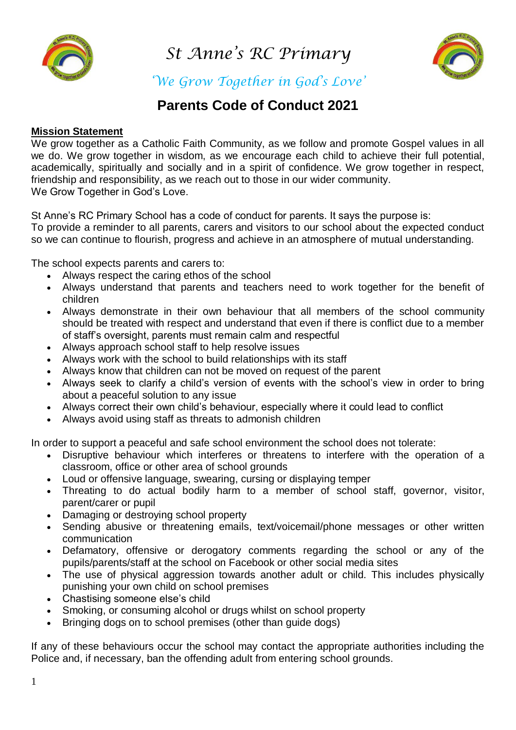

*St Anne's RC Primary* 



*'We Grow Together in God's Love'*

## **Parents Code of Conduct 2021**

## **Mission Statement**

We grow together as a Catholic Faith Community, as we follow and promote Gospel values in all we do. We grow together in wisdom, as we encourage each child to achieve their full potential, academically, spiritually and socially and in a spirit of confidence. We grow together in respect, friendship and responsibility, as we reach out to those in our wider community. We Grow Together in God's Love.

St Anne's RC Primary School has a code of conduct for parents. It says the purpose is: To provide a reminder to all parents, carers and visitors to our school about the expected conduct so we can continue to flourish, progress and achieve in an atmosphere of mutual understanding.

The school expects parents and carers to:

- Always respect the caring ethos of the school
- Always understand that parents and teachers need to work together for the benefit of children
- Always demonstrate in their own behaviour that all members of the school community should be treated with respect and understand that even if there is conflict due to a member of staff's oversight, parents must remain calm and respectful
- Always approach school staff to help resolve issues
- Always work with the school to build relationships with its staff
- Always know that children can not be moved on request of the parent
- Always seek to clarify a child's version of events with the school's view in order to bring about a peaceful solution to any issue
- Always correct their own child's behaviour, especially where it could lead to conflict
- Always avoid using staff as threats to admonish children

In order to support a peaceful and safe school environment the school does not tolerate:

- Disruptive behaviour which interferes or threatens to interfere with the operation of a classroom, office or other area of school grounds
- Loud or offensive language, swearing, cursing or displaying temper
- Threating to do actual bodily harm to a member of school staff, governor, visitor, parent/carer or pupil
- Damaging or destroying school property
- Sending abusive or threatening emails, text/voicemail/phone messages or other written communication
- Defamatory, offensive or derogatory comments regarding the school or any of the pupils/parents/staff at the school on Facebook or other social media sites
- The use of physical aggression towards another adult or child. This includes physically punishing your own child on school premises
- Chastising someone else's child
- Smoking, or consuming alcohol or drugs whilst on school property
- Bringing dogs on to school premises (other than guide dogs)

If any of these behaviours occur the school may contact the appropriate authorities including the Police and, if necessary, ban the offending adult from entering school grounds.